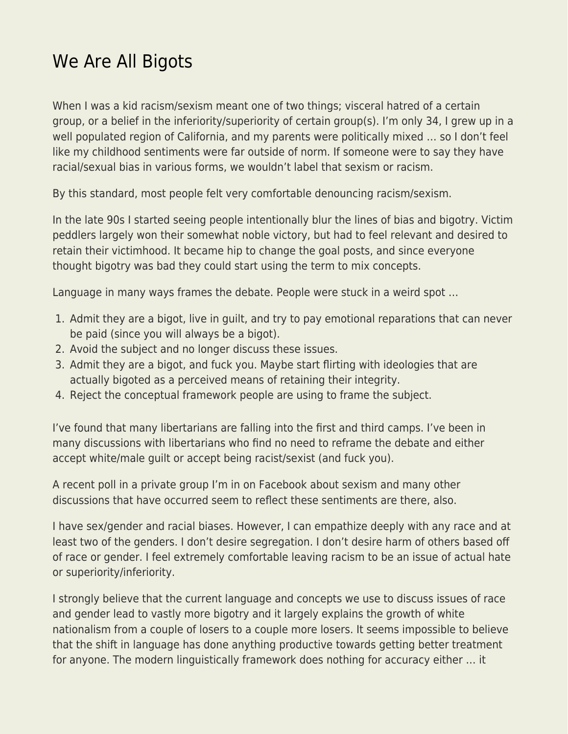## [We Are All Bigots](https://everything-voluntary.com/we-are-all-bigots)

When I was a kid racism/sexism meant one of two things; visceral hatred of a certain group, or a belief in the inferiority/superiority of certain group(s). I'm only 34, I grew up in a well populated region of California, and my parents were politically mixed … so I don't feel like my childhood sentiments were far outside of norm. If someone were to say they have racial/sexual bias in various forms, we wouldn't label that sexism or racism.

By this standard, most people felt very comfortable denouncing racism/sexism.

In the late 90s I started seeing people intentionally blur the lines of bias and bigotry. Victim peddlers largely won their somewhat noble victory, but had to feel relevant and desired to retain their victimhood. It became hip to change the goal posts, and since everyone thought bigotry was bad they could start using the term to mix concepts.

Language in many ways frames the debate. People were stuck in a weird spot …

- 1. Admit they are a bigot, live in guilt, and try to pay emotional reparations that can never be paid (since you will always be a bigot).
- 2. Avoid the subject and no longer discuss these issues.
- 3. Admit they are a bigot, and fuck you. Maybe start flirting with ideologies that are actually bigoted as a perceived means of retaining their integrity.
- 4. Reject the conceptual framework people are using to frame the subject.

I've found that many libertarians are falling into the first and third camps. I've been in many discussions with libertarians who find no need to reframe the debate and either accept white/male guilt or accept being racist/sexist (and fuck you).

A recent poll in a private group I'm in on Facebook about sexism and many other discussions that have occurred seem to reflect these sentiments are there, also.

I have sex/gender and racial biases. However, I can empathize deeply with any race and at least two of the genders. I don't desire segregation. I don't desire harm of others based off of race or gender. I feel extremely comfortable leaving racism to be an issue of actual hate or superiority/inferiority.

I strongly believe that the current language and concepts we use to discuss issues of race and gender lead to vastly more bigotry and it largely explains the growth of white nationalism from a couple of losers to a couple more losers. It seems impossible to believe that the shift in language has done anything productive towards getting better treatment for anyone. The modern linguistically framework does nothing for accuracy either … it